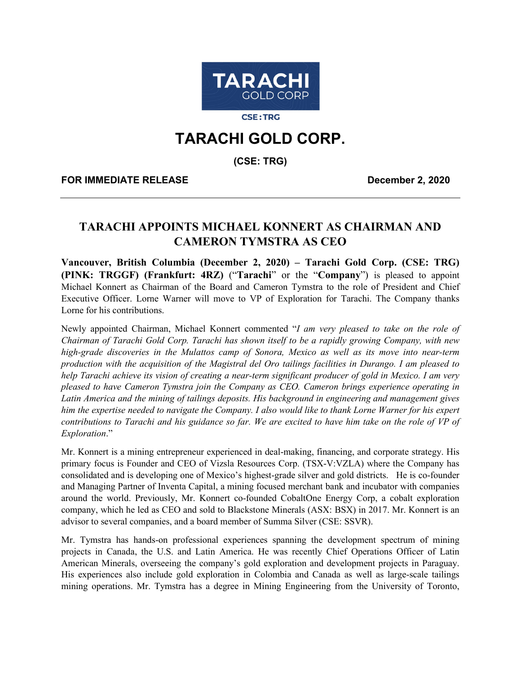

**CSE:TRG** 

## **TARACHI GOLD CORP.**

**(CSE: TRG)**

**FOR IMMEDIATE RELEASE December 2, 2020**

## **TARACHI APPOINTS MICHAEL KONNERT AS CHAIRMAN AND CAMERON TYMSTRA AS CEO**

**Vancouver, British Columbia (December 2, 2020) – Tarachi Gold Corp. (CSE: TRG) (PINK: TRGGF) (Frankfurt: 4RZ)** ("**Tarachi**" or the "**Company**") is pleased to appoint Michael Konnert as Chairman of the Board and Cameron Tymstra to the role of President and Chief Executive Officer. Lorne Warner will move to VP of Exploration for Tarachi. The Company thanks Lorne for his contributions.

Newly appointed Chairman, Michael Konnert commented "*I am very pleased to take on the role of Chairman of Tarachi Gold Corp. Tarachi has shown itself to be a rapidly growing Company, with new high-grade discoveries in the Mulattos camp of Sonora, Mexico as well as its move into near-term production with the acquisition of the Magistral del Oro tailings facilities in Durango. I am pleased to help Tarachi achieve its vision of creating a near-term significant producer of gold in Mexico. I am very pleased to have Cameron Tymstra join the Company as CEO. Cameron brings experience operating in Latin America and the mining of tailings deposits. His background in engineering and management gives him the expertise needed to navigate the Company. I also would like to thank Lorne Warner for his expert contributions to Tarachi and his guidance so far. We are excited to have him take on the role of VP of Exploration*."

Mr. Konnert is a mining entrepreneur experienced in deal-making, financing, and corporate strategy. His primary focus is Founder and CEO of Vizsla Resources Corp. (TSX-V:VZLA) where the Company has consolidated and is developing one of Mexico's highest-grade silver and gold districts. He is co-founder and Managing Partner of Inventa Capital, a mining focused merchant bank and incubator with companies around the world. Previously, Mr. Konnert co-founded CobaltOne Energy Corp, a cobalt exploration company, which he led as CEO and sold to Blackstone Minerals (ASX: BSX) in 2017. Mr. Konnert is an advisor to several companies, and a board member of Summa Silver (CSE: SSVR).

Mr. Tymstra has hands-on professional experiences spanning the development spectrum of mining projects in Canada, the U.S. and Latin America. He was recently Chief Operations Officer of Latin American Minerals, overseeing the company's gold exploration and development projects in Paraguay. His experiences also include gold exploration in Colombia and Canada as well as large-scale tailings mining operations. Mr. Tymstra has a degree in Mining Engineering from the University of Toronto,